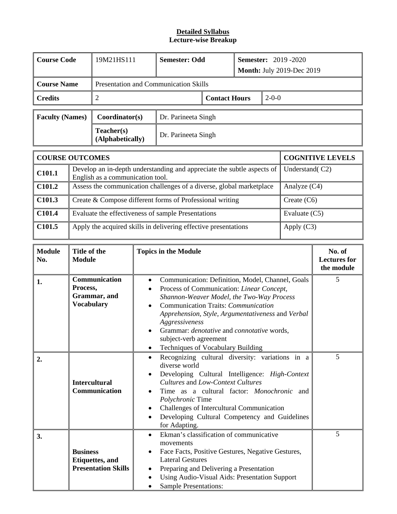#### **Lecture-wise Breakup Detailed Syllabus**

| <b>Course Code</b>     | 19M21HS111                     | <b>Semester: 2019 -2020</b><br><b>Semester: Odd</b><br><b>Month: July 2019-Dec 2019</b> |  |  |  |  |
|------------------------|--------------------------------|-----------------------------------------------------------------------------------------|--|--|--|--|
|                        |                                |                                                                                         |  |  |  |  |
| <b>Course Name</b>     |                                | <b>Presentation and Communication Skills</b>                                            |  |  |  |  |
| <b>Credits</b>         | $\overline{2}$                 | $2 - 0 - 0$<br><b>Contact Hours</b>                                                     |  |  |  |  |
| <b>Faculty (Names)</b> | Coordinator(s)                 | Dr. Parineeta Singh                                                                     |  |  |  |  |
|                        | Teacher(s)<br>(Alphabetically) | Dr. Parineeta Singh                                                                     |  |  |  |  |
|                        |                                |                                                                                         |  |  |  |  |

|        | <b>COURSE OUTCOMES</b>                                                                                     | <b>COGNITIVE LEVELS</b> |
|--------|------------------------------------------------------------------------------------------------------------|-------------------------|
| C101.1 | Develop an in-depth understanding and appreciate the subtle aspects of<br>English as a communication tool. | Understand(C2)          |
| C101.2 | Assess the communication challenges of a diverse, global marketplace                                       | Analyze $(C4)$          |
| C101.3 | Create & Compose different forms of Professional writing                                                   | Create $(C6)$           |
| C101.4 | Evaluate the effectiveness of sample Presentations                                                         | Evaluate $(C5)$         |
| C101.5 | Apply the acquired skills in delivering effective presentations                                            | Apply $(C3)$            |

| <b>Module</b><br>No. | Title of the<br><b>Module</b>                                            | <b>Topics in the Module</b>                                                                                                                                                                                                                                                                                                                                                                                                             | No. of<br><b>Lectures for</b><br>the module |
|----------------------|--------------------------------------------------------------------------|-----------------------------------------------------------------------------------------------------------------------------------------------------------------------------------------------------------------------------------------------------------------------------------------------------------------------------------------------------------------------------------------------------------------------------------------|---------------------------------------------|
| 1.                   | Communication<br>Process,<br>Grammar, and<br><b>Vocabulary</b>           | Communication: Definition, Model, Channel, Goals<br>$\bullet$<br>Process of Communication: Linear Concept,<br>$\bullet$<br>Shannon-Weaver Model, the Two-Way Process<br>Communication Traits: Communication<br>$\bullet$<br>Apprehension, Style, Argumentativeness and Verbal<br>Aggressiveness<br>Grammar: <i>denotative</i> and <i>connotative</i> words,<br>$\bullet$<br>subject-verb agreement<br>Techniques of Vocabulary Building | 5.                                          |
| 2.                   | <b>Intercultural</b><br>Communication                                    | Recognizing cultural diversity: variations in a<br>$\bullet$<br>diverse world<br>Developing Cultural Intelligence: High-Context<br>$\bullet$<br>Cultures and Low-Context Cultures<br>Time as a cultural factor: <i>Monochronic</i> and<br>Polychronic Time<br>Challenges of Intercultural Communication<br>$\bullet$<br>Developing Cultural Competency and Guidelines<br>$\bullet$<br>for Adapting.                                     | 5                                           |
| 3.                   | <b>Business</b><br><b>Etiquettes</b> , and<br><b>Presentation Skills</b> | Ekman's classification of communicative<br>$\bullet$<br>movements<br>Face Facts, Positive Gestures, Negative Gestures,<br>$\bullet$<br><b>Lateral Gestures</b><br>Preparing and Delivering a Presentation<br>$\bullet$<br>Using Audio-Visual Aids: Presentation Support<br>$\bullet$<br><b>Sample Presentations:</b>                                                                                                                    | 5                                           |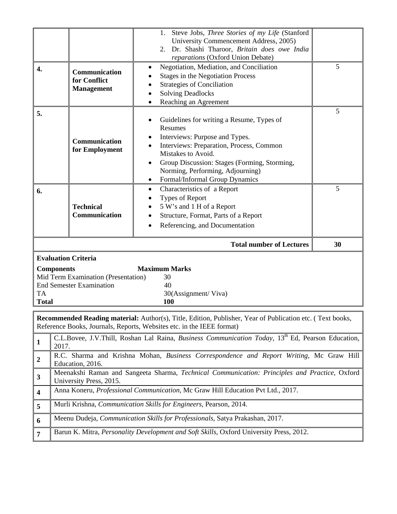|                           |                                                                                                                           | 1. Steve Jobs, Three Stories of my Life (Stanford<br>University Commencement Address, 2005)<br>2. Dr. Shashi Tharoor, Britain does owe India<br>reparations (Oxford Union Debate)                                                                                                   |    |
|---------------------------|---------------------------------------------------------------------------------------------------------------------------|-------------------------------------------------------------------------------------------------------------------------------------------------------------------------------------------------------------------------------------------------------------------------------------|----|
| 4.                        | Communication<br>for Conflict<br><b>Management</b>                                                                        | Negotiation, Mediation, and Conciliation<br><b>Stages in the Negotiation Process</b><br><b>Strategies of Conciliation</b><br><b>Solving Deadlocks</b><br>Reaching an Agreement                                                                                                      | 5  |
| 5.                        | Communication<br>for Employment                                                                                           | Guidelines for writing a Resume, Types of<br>Resumes<br>Interviews: Purpose and Types.<br>Interviews: Preparation, Process, Common<br>Mistakes to Avoid.<br>Group Discussion: Stages (Forming, Storming,<br>Norming, Performing, Adjourning)<br>Formal/Informal Group Dynamics<br>٠ | 5  |
| 6.                        | <b>Technical</b><br>Communication                                                                                         | Characteristics of a Report<br>٠<br>Types of Report<br>5 W's and 1 H of a Report<br>Structure, Format, Parts of a Report<br>Referencing, and Documentation                                                                                                                          | 5  |
|                           |                                                                                                                           |                                                                                                                                                                                                                                                                                     |    |
|                           |                                                                                                                           | <b>Total number of Lectures</b>                                                                                                                                                                                                                                                     | 30 |
| <b>TA</b><br><b>Total</b> | <b>Evaluation Criteria</b><br><b>Components</b><br>Mid Term Examination (Presentation)<br><b>End Semester Examination</b> | <b>Maximum Marks</b><br>30<br>40<br>30(Assignment/Viva)<br>100                                                                                                                                                                                                                      |    |
|                           |                                                                                                                           | <b>Recommended Reading material:</b> Author(s), Title, Edition, Publisher, Year of Publication etc. (Text books,<br>Reference Books, Journals, Reports, Websites etc. in the IEEE format)                                                                                           |    |
| $\mathbf{1}$              | 2017.                                                                                                                     | C.L.Bovee, J.V.Thill, Roshan Lal Raina, Business Communication Today, 13 <sup>th</sup> Ed, Pearson Education,                                                                                                                                                                       |    |
| $\boldsymbol{2}$          |                                                                                                                           | R.C. Sharma and Krishna Mohan, Business Correspondence and Report Writing, Mc Graw Hill                                                                                                                                                                                             |    |
| $\mathbf{3}$              | Education, 2016.                                                                                                          | Meenakshi Raman and Sangeeta Sharma, Technical Communication: Principles and Practice, Oxford                                                                                                                                                                                       |    |
| $\overline{\mathbf{4}}$   | University Press, 2015.                                                                                                   | Anna Koneru, Professional Communication, Mc Graw Hill Education Pvt Ltd., 2017.                                                                                                                                                                                                     |    |
| 5                         |                                                                                                                           | Murli Krishna, Communication Skills for Engineers, Pearson, 2014.                                                                                                                                                                                                                   |    |
| 6                         |                                                                                                                           | Meenu Dudeja, Communication Skills for Professionals, Satya Prakashan, 2017.                                                                                                                                                                                                        |    |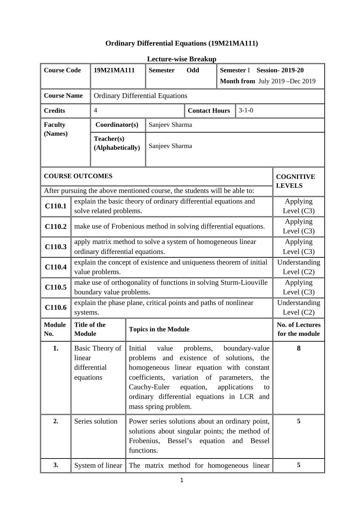### **Ordinary Differential Equations (19M21MA111)**

| <b>Course Code</b>     |                                                                                            | 19M21MA111                                                                                                                                                                                                                                                                                                                                                         |            | <b>Semester</b>                                                                            | Odd                  |                                | Semester I Session-2019-20                     |                                          |  |  |
|------------------------|--------------------------------------------------------------------------------------------|--------------------------------------------------------------------------------------------------------------------------------------------------------------------------------------------------------------------------------------------------------------------------------------------------------------------------------------------------------------------|------------|--------------------------------------------------------------------------------------------|----------------------|--------------------------------|------------------------------------------------|------------------------------------------|--|--|
|                        |                                                                                            |                                                                                                                                                                                                                                                                                                                                                                    |            |                                                                                            |                      | Month from July 2019 -Dec 2019 |                                                |                                          |  |  |
| <b>Course Name</b>     |                                                                                            |                                                                                                                                                                                                                                                                                                                                                                    |            | <b>Ordinary Differential Equations</b>                                                     |                      |                                |                                                |                                          |  |  |
| <b>Credits</b>         |                                                                                            | $\overline{4}$                                                                                                                                                                                                                                                                                                                                                     |            |                                                                                            | <b>Contact Hours</b> | $3 - 1 - 0$                    |                                                |                                          |  |  |
| <b>Faculty</b>         |                                                                                            | Coordinator(s)                                                                                                                                                                                                                                                                                                                                                     |            | Sanjeev Sharma                                                                             |                      |                                |                                                |                                          |  |  |
| (Names)                |                                                                                            | Teacher(s)<br>(Alphabetically)                                                                                                                                                                                                                                                                                                                                     |            | Sanjeev Sharma                                                                             |                      |                                |                                                |                                          |  |  |
| <b>COURSE OUTCOMES</b> |                                                                                            |                                                                                                                                                                                                                                                                                                                                                                    |            |                                                                                            |                      |                                |                                                | <b>COGNITIVE</b><br><b>LEVELS</b>        |  |  |
|                        |                                                                                            |                                                                                                                                                                                                                                                                                                                                                                    |            | After pursuing the above mentioned course, the students will be able to:                   |                      |                                |                                                |                                          |  |  |
| C110.1                 | explain the basic theory of ordinary differential equations and<br>solve related problems. |                                                                                                                                                                                                                                                                                                                                                                    |            |                                                                                            |                      |                                | Applying<br>Level $(C3)$                       |                                          |  |  |
| C110.2                 |                                                                                            | make use of Frobenious method in solving differential equations.                                                                                                                                                                                                                                                                                                   |            |                                                                                            |                      |                                |                                                | Applying<br>Level $(C3)$                 |  |  |
| C110.3                 |                                                                                            | apply matrix method to solve a system of homogeneous linear<br>ordinary differential equations.                                                                                                                                                                                                                                                                    |            |                                                                                            |                      |                                |                                                | Applying<br>Level $(C3)$                 |  |  |
| C110.4                 |                                                                                            | value problems.                                                                                                                                                                                                                                                                                                                                                    |            | explain the concept of existence and uniqueness theorem of initial                         |                      |                                |                                                | Understanding<br>Level $(C2)$            |  |  |
| C110.5                 |                                                                                            | boundary value problems.                                                                                                                                                                                                                                                                                                                                           |            | make use of orthogonality of functions in solving Sturm-Liouville                          |                      |                                |                                                | Applying<br>Level $(C3)$                 |  |  |
| C110.6                 | systems.                                                                                   |                                                                                                                                                                                                                                                                                                                                                                    |            | explain the phase plane, critical points and paths of nonlinear                            |                      |                                |                                                | Understanding<br>Level $(C2)$            |  |  |
| <b>Module</b><br>No.   | Title of the<br>Module                                                                     |                                                                                                                                                                                                                                                                                                                                                                    |            | <b>Topics in the Module</b>                                                                |                      |                                |                                                | <b>No. of Lectures</b><br>for the module |  |  |
| 1.                     | linear                                                                                     | Basic Theory of<br>Initial<br>value<br>problems,<br>boundary-value<br>problems and existence of solutions, the<br>differential<br>homogeneous linear equation with constant<br>coefficients, variation of parameters,<br>equations<br>the<br>Cauchy-Euler<br>equation,<br>applications<br>to<br>ordinary differential equations in LCR and<br>mass spring problem. |            |                                                                                            |                      |                                | 8                                              |                                          |  |  |
| 2.                     |                                                                                            | Series solution                                                                                                                                                                                                                                                                                                                                                    | functions. | Power series solutions about an ordinary point,<br>Frobenius, Bessel's equation and Bessel |                      |                                | solutions about singular points; the method of | 5                                        |  |  |
| 3.                     |                                                                                            | System of linear                                                                                                                                                                                                                                                                                                                                                   |            | The matrix method for homogeneous linear                                                   |                      |                                |                                                | 5                                        |  |  |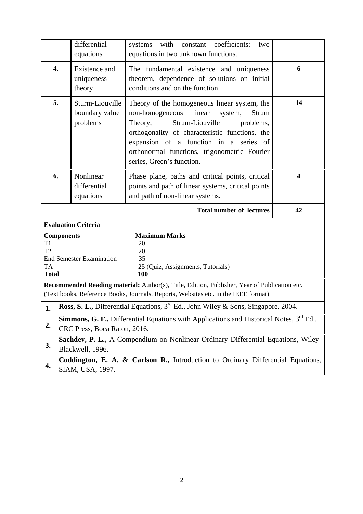|                                               |                                                                                                                                                                                                    | differential<br>equations                     | with<br>constant coefficients:<br>systems<br>two<br>equations in two unknown functions.                                                                                                                                                                                                                           |                         |  |  |  |
|-----------------------------------------------|----------------------------------------------------------------------------------------------------------------------------------------------------------------------------------------------------|-----------------------------------------------|-------------------------------------------------------------------------------------------------------------------------------------------------------------------------------------------------------------------------------------------------------------------------------------------------------------------|-------------------------|--|--|--|
|                                               | 4.                                                                                                                                                                                                 | Existence and<br>uniqueness<br>theory         | The fundamental existence and uniqueness<br>theorem, dependence of solutions on initial<br>conditions and on the function.                                                                                                                                                                                        | 6                       |  |  |  |
|                                               | 5.                                                                                                                                                                                                 | Sturm-Liouville<br>boundary value<br>problems | Theory of the homogeneous linear system, the<br>linear<br>non-homogeneous<br>system,<br>Strum<br>Theory,<br>Strum-Liouville<br>problems,<br>orthogonality of characteristic functions, the<br>expansion of a function in a series of<br>orthonormal functions, trigonometric Fourier<br>series, Green's function. | 14                      |  |  |  |
|                                               | 6.                                                                                                                                                                                                 | Nonlinear<br>differential<br>equations        | Phase plane, paths and critical points, critical<br>points and path of linear systems, critical points<br>and path of non-linear systems.                                                                                                                                                                         | $\overline{\mathbf{4}}$ |  |  |  |
|                                               |                                                                                                                                                                                                    |                                               | <b>Total number of lectures</b>                                                                                                                                                                                                                                                                                   | 42                      |  |  |  |
|                                               |                                                                                                                                                                                                    | <b>Evaluation Criteria</b>                    |                                                                                                                                                                                                                                                                                                                   |                         |  |  |  |
| T <sub>1</sub><br>T <sub>2</sub><br><b>TA</b> | <b>Components</b>                                                                                                                                                                                  | <b>End Semester Examination</b>               | <b>Maximum Marks</b><br>20<br>20<br>35<br>25 (Quiz, Assignments, Tutorials)<br>100                                                                                                                                                                                                                                |                         |  |  |  |
|                                               | <b>Total</b><br>Recommended Reading material: Author(s), Title, Edition, Publisher, Year of Publication etc.<br>(Text books, Reference Books, Journals, Reports, Websites etc. in the IEEE format) |                                               |                                                                                                                                                                                                                                                                                                                   |                         |  |  |  |
|                                               |                                                                                                                                                                                                    |                                               |                                                                                                                                                                                                                                                                                                                   |                         |  |  |  |
|                                               |                                                                                                                                                                                                    |                                               | Ross, S. L., Differential Equations, 3 <sup>rd</sup> Ed., John Wiley & Sons, Singapore, 2004.                                                                                                                                                                                                                     |                         |  |  |  |
| 2.                                            |                                                                                                                                                                                                    | CRC Press, Boca Raton, 2016.                  | <b>Simmons, G. F., Differential Equations with Applications and Historical Notes, <math>3^{rd}</math> Ed.,</b>                                                                                                                                                                                                    |                         |  |  |  |
| 3.                                            |                                                                                                                                                                                                    | Blackwell, 1996.                              | Sachdev, P. L., A Compendium on Nonlinear Ordinary Differential Equations, Wiley-                                                                                                                                                                                                                                 |                         |  |  |  |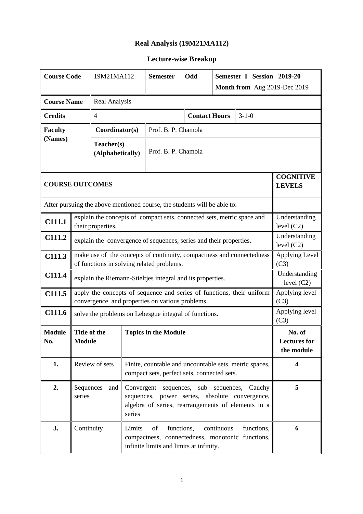### **Real Analysis (19M21MA112)**

| <b>Course Code</b>     | Semester I Session 2019-20<br>19M21MA112<br><b>Semester</b><br>Odd |                                                                                                                                                                                      |        |                                                                                                                          |  |                                     |            |                                             |  |
|------------------------|--------------------------------------------------------------------|--------------------------------------------------------------------------------------------------------------------------------------------------------------------------------------|--------|--------------------------------------------------------------------------------------------------------------------------|--|-------------------------------------|------------|---------------------------------------------|--|
|                        |                                                                    | Month from Aug 2019-Dec 2019                                                                                                                                                         |        |                                                                                                                          |  |                                     |            |                                             |  |
| <b>Course Name</b>     |                                                                    | Real Analysis                                                                                                                                                                        |        |                                                                                                                          |  |                                     |            |                                             |  |
| <b>Credits</b>         |                                                                    | $\overline{4}$                                                                                                                                                                       |        |                                                                                                                          |  | <b>Contact Hours</b><br>$3 - 1 - 0$ |            |                                             |  |
| <b>Faculty</b>         |                                                                    | Coordinator(s)                                                                                                                                                                       |        | Prof. B. P. Chamola                                                                                                      |  |                                     |            |                                             |  |
| (Names)                | Teacher(s)<br>Prof. B. P. Chamola<br>(Alphabetically)              |                                                                                                                                                                                      |        |                                                                                                                          |  |                                     |            |                                             |  |
| <b>COURSE OUTCOMES</b> |                                                                    |                                                                                                                                                                                      |        |                                                                                                                          |  |                                     |            | <b>COGNITIVE</b><br><b>LEVELS</b>           |  |
|                        |                                                                    |                                                                                                                                                                                      |        | After pursuing the above mentioned course, the students will be able to:                                                 |  |                                     |            |                                             |  |
| C111.1                 |                                                                    | their properties.                                                                                                                                                                    |        | explain the concepts of compact sets, connected sets, metric space and                                                   |  |                                     |            | Understanding<br>level $(C2)$               |  |
| C111.2                 |                                                                    | explain the convergence of sequences, series and their properties.                                                                                                                   |        |                                                                                                                          |  |                                     |            | Understanding<br>level $(C2)$               |  |
| C111.3                 |                                                                    | make use of the concepts of continuity, compactness and connectedness<br>of functions in solving related problems.                                                                   |        |                                                                                                                          |  |                                     |            | Applying Level<br>(C3)                      |  |
| C111.4                 |                                                                    |                                                                                                                                                                                      |        | explain the Riemann-Stieltjes integral and its properties.                                                               |  |                                     |            | Understanding<br>level $(C2)$               |  |
| C111.5                 |                                                                    |                                                                                                                                                                                      |        | apply the concepts of sequence and series of functions, their uniform<br>convergence and properties on various problems. |  |                                     |            | Applying level<br>(C3)                      |  |
| C111.6                 |                                                                    |                                                                                                                                                                                      |        | solve the problems on Lebesgue integral of functions.                                                                    |  |                                     |            | Applying level<br>(C3)                      |  |
| <b>Module</b><br>No.   | Title of the<br><b>Module</b>                                      |                                                                                                                                                                                      |        | <b>Topics in the Module</b>                                                                                              |  |                                     |            | No. of<br><b>Lectures</b> for<br>the module |  |
| 1.                     |                                                                    | Review of sets                                                                                                                                                                       |        | Finite, countable and uncountable sets, metric spaces,<br>compact sets, perfect sets, connected sets.                    |  |                                     |            | 4                                           |  |
| 2.                     | series                                                             | Sequences<br>Convergent sequences,<br>sub sequences, Cauchy<br>and<br>sequences, power series, absolute convergence,<br>algebra of series, rearrangements of elements in a<br>series |        |                                                                                                                          |  |                                     | 5          |                                             |  |
| 3.                     | Continuity                                                         |                                                                                                                                                                                      | Limits | functions,<br>of<br>compactness, connectedness, monotonic functions,<br>infinite limits and limits at infinity.          |  | continuous                          | functions, | 6                                           |  |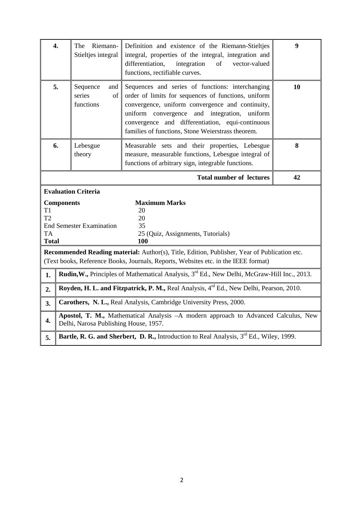| $\overline{4}$ .                      |                   | The<br>Riemann-<br>Stieltjes integral                         | Definition and existence of the Riemann-Stieltjes<br>integral, properties of the integral, integration and<br>differentiation,<br>integration<br>of<br>vector-valued<br>functions, rectifiable curves.                                                                                                                  | $\boldsymbol{9}$ |
|---------------------------------------|-------------------|---------------------------------------------------------------|-------------------------------------------------------------------------------------------------------------------------------------------------------------------------------------------------------------------------------------------------------------------------------------------------------------------------|------------------|
| 5.                                    |                   | Sequence<br>and<br>series<br>of<br>functions                  | Sequences and series of functions: interchanging<br>order of limits for sequences of functions, uniform<br>convergence, uniform convergence and continuity,<br>uniform convergence<br>and integration, uniform<br>convergence and differentiation, equi-continuous<br>families of functions, Stone Weierstrass theorem. | 10               |
| 6.                                    |                   | Lebesgue<br>theory                                            | Measurable sets and their properties, Lebesgue<br>measure, measurable functions, Lebesgue integral of<br>functions of arbitrary sign, integrable functions.                                                                                                                                                             | 8                |
|                                       |                   |                                                               | <b>Total number of lectures</b>                                                                                                                                                                                                                                                                                         | 42               |
| T1<br>T2<br><b>TA</b><br><b>Total</b> | <b>Components</b> | <b>Evaluation Criteria</b><br><b>End Semester Examination</b> | <b>Maximum Marks</b><br>20<br>20<br>35<br>25 (Quiz, Assignments, Tutorials)<br>100                                                                                                                                                                                                                                      |                  |
|                                       |                   |                                                               | Recommended Reading material: Author(s), Title, Edition, Publisher, Year of Publication etc.<br>(Text books, Reference Books, Journals, Reports, Websites etc. in the IEEE format)                                                                                                                                      |                  |
| 1.                                    |                   |                                                               | Rudin, W., Principles of Mathematical Analysis, 3 <sup>rd</sup> Ed., New Delhi, McGraw-Hill Inc., 2013.                                                                                                                                                                                                                 |                  |
| 2.                                    |                   |                                                               | Royden, H. L. and Fitzpatrick, P. M., Real Analysis, $4^{rd}$ Ed., New Delhi, Pearson, 2010.                                                                                                                                                                                                                            |                  |
| 3.                                    |                   |                                                               | Carothers, N. L., Real Analysis, Cambridge University Press, 2000.                                                                                                                                                                                                                                                      |                  |
| 4.                                    |                   | Delhi, Narosa Publishing House, 1957.                         | Apostol, T. M., Mathematical Analysis -A modern approach to Advanced Calculus, New                                                                                                                                                                                                                                      |                  |
| 5.                                    |                   |                                                               | Bartle, R. G. and Sherbert, D. R., Introduction to Real Analysis, 3 <sup>rd</sup> Ed., Wiley, 1999.                                                                                                                                                                                                                     |                  |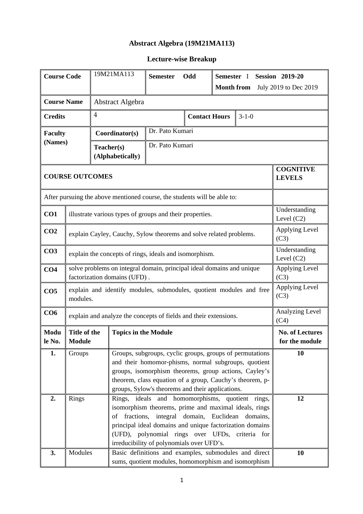### **Abstract Algebra (19M21MA113)**

| <b>Course Code</b> |                                                             | 19M21MA113<br><b>Semester</b><br>Odd<br>Semester I<br><b>Session 2019-20</b> |                                                                                                       |                                                                                                              |  |                                            |                                                                                                                                                                                                                                      |                                          |  |  |
|--------------------|-------------------------------------------------------------|------------------------------------------------------------------------------|-------------------------------------------------------------------------------------------------------|--------------------------------------------------------------------------------------------------------------|--|--------------------------------------------|--------------------------------------------------------------------------------------------------------------------------------------------------------------------------------------------------------------------------------------|------------------------------------------|--|--|
|                    |                                                             |                                                                              |                                                                                                       |                                                                                                              |  | <b>Month from</b><br>July 2019 to Dec 2019 |                                                                                                                                                                                                                                      |                                          |  |  |
| <b>Course Name</b> |                                                             |                                                                              | Abstract Algebra                                                                                      |                                                                                                              |  |                                            |                                                                                                                                                                                                                                      |                                          |  |  |
| <b>Credits</b>     |                                                             | $\overline{4}$                                                               |                                                                                                       |                                                                                                              |  | <b>Contact Hours</b><br>$3 - 1 - 0$        |                                                                                                                                                                                                                                      |                                          |  |  |
| <b>Faculty</b>     | Dr. Pato Kumari<br>Coordinator(s)                           |                                                                              |                                                                                                       |                                                                                                              |  |                                            |                                                                                                                                                                                                                                      |                                          |  |  |
| (Names)            | Dr. Pato Kumari<br>Teacher(s)<br>(Alphabetically)           |                                                                              |                                                                                                       |                                                                                                              |  |                                            |                                                                                                                                                                                                                                      |                                          |  |  |
|                    | <b>COGNITIVE</b><br><b>COURSE OUTCOMES</b><br><b>LEVELS</b> |                                                                              |                                                                                                       |                                                                                                              |  |                                            |                                                                                                                                                                                                                                      |                                          |  |  |
|                    |                                                             |                                                                              | After pursuing the above mentioned course, the students will be able to:                              |                                                                                                              |  |                                            |                                                                                                                                                                                                                                      |                                          |  |  |
| CO1                |                                                             |                                                                              | illustrate various types of groups and their properties.                                              |                                                                                                              |  |                                            |                                                                                                                                                                                                                                      | Understanding<br>Level $(C2)$            |  |  |
| CO <sub>2</sub>    |                                                             |                                                                              | explain Cayley, Cauchy, Sylow theorems and solve related problems.                                    |                                                                                                              |  |                                            |                                                                                                                                                                                                                                      | Applying Level<br>(C3)                   |  |  |
| CO <sub>3</sub>    |                                                             |                                                                              | explain the concepts of rings, ideals and isomorphism.                                                |                                                                                                              |  |                                            |                                                                                                                                                                                                                                      | Understanding<br>Level $(C2)$            |  |  |
| CO <sub>4</sub>    |                                                             |                                                                              | solve problems on integral domain, principal ideal domains and unique<br>factorization domains (UFD). |                                                                                                              |  |                                            |                                                                                                                                                                                                                                      | Applying Level<br>(C3)                   |  |  |
| CO <sub>5</sub>    | modules.                                                    |                                                                              | explain and identify modules, submodules, quotient modules and free                                   |                                                                                                              |  |                                            |                                                                                                                                                                                                                                      | Applying Level<br>(C3)                   |  |  |
| CO6                |                                                             |                                                                              | explain and analyze the concepts of fields and their extensions.                                      |                                                                                                              |  |                                            |                                                                                                                                                                                                                                      | Analyzing Level<br>(C4)                  |  |  |
| Modu<br>le No.     | Title of the<br>Module                                      |                                                                              | <b>Topics in the Module</b>                                                                           |                                                                                                              |  |                                            |                                                                                                                                                                                                                                      | <b>No. of Lectures</b><br>for the module |  |  |
| 1.                 | Groups                                                      |                                                                              |                                                                                                       | theorem, class equation of a group, Cauchy's theorem, p-<br>groups, Sylow's theorems and their applications. |  |                                            | Groups, subgroups, cyclic groups, groups of permutations<br>and their homomor-phisms, normal subgroups, quotient<br>groups, isomorphism theorems, group actions, Cayley's                                                            | 10                                       |  |  |
| 2.                 | Rings                                                       |                                                                              | of                                                                                                    | fractions, integral domain, Euclidean<br>irreducibility of polynomials over UFD's.                           |  |                                            | Rings, ideals and homomorphisms, quotient rings,<br>isomorphism theorems, prime and maximal ideals, rings<br>domains,<br>principal ideal domains and unique factorization domains<br>(UFD), polynomial rings over UFDs, criteria for | 12                                       |  |  |
| 3.                 | Modules                                                     |                                                                              |                                                                                                       |                                                                                                              |  |                                            | Basic definitions and examples, submodules and direct<br>sums, quotient modules, homomorphism and isomorphism                                                                                                                        | 10                                       |  |  |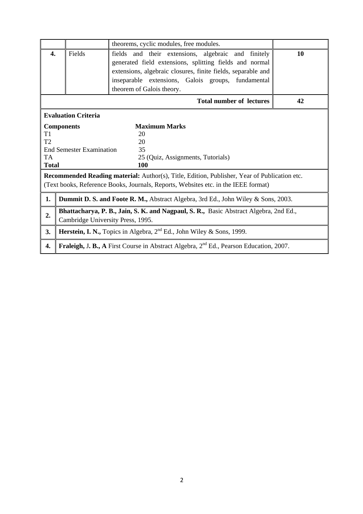|              |                                   | theorems, cyclic modules, free modules.                                                                                                                                                                                                                           |    |
|--------------|-----------------------------------|-------------------------------------------------------------------------------------------------------------------------------------------------------------------------------------------------------------------------------------------------------------------|----|
| 4.           | Fields                            | fields and their extensions, algebraic and finitely<br>generated field extensions, splitting fields and normal<br>extensions, algebraic closures, finite fields, separable and<br>inseparable extensions, Galois groups, fundamental<br>theorem of Galois theory. | 10 |
|              |                                   | <b>Total number of lectures</b>                                                                                                                                                                                                                                   | 42 |
|              | <b>Evaluation Criteria</b>        |                                                                                                                                                                                                                                                                   |    |
|              | <b>Components</b>                 | <b>Maximum Marks</b>                                                                                                                                                                                                                                              |    |
| T1           |                                   | 20                                                                                                                                                                                                                                                                |    |
| T2           |                                   | 20                                                                                                                                                                                                                                                                |    |
|              | <b>End Semester Examination</b>   | 35                                                                                                                                                                                                                                                                |    |
| <b>TA</b>    |                                   | 25 (Quiz, Assignments, Tutorials)                                                                                                                                                                                                                                 |    |
| <b>Total</b> |                                   | 100                                                                                                                                                                                                                                                               |    |
|              |                                   | Recommended Reading material: Author(s), Title, Edition, Publisher, Year of Publication etc.<br>(Text books, Reference Books, Journals, Reports, Websites etc. in the IEEE format)                                                                                |    |
| 1.           |                                   | <b>Dummit D. S. and Foote R. M., Abstract Algebra, 3rd Ed., John Wiley &amp; Sons, 2003.</b>                                                                                                                                                                      |    |
| 2.           | Cambridge University Press, 1995. | Bhattacharya, P. B., Jain, S. K. and Nagpaul, S. R., Basic Abstract Algebra, 2nd Ed.,                                                                                                                                                                             |    |
| 3.           |                                   | <b>Herstein, I. N., Topics in Algebra, <math>2^{nd}</math> Ed., John Wiley &amp; Sons, 1999.</b>                                                                                                                                                                  |    |
| 4.           |                                   | Fraleigh, J. B., A First Course in Abstract Algebra, 2 <sup>nd</sup> Ed., Pearson Education, 2007.                                                                                                                                                                |    |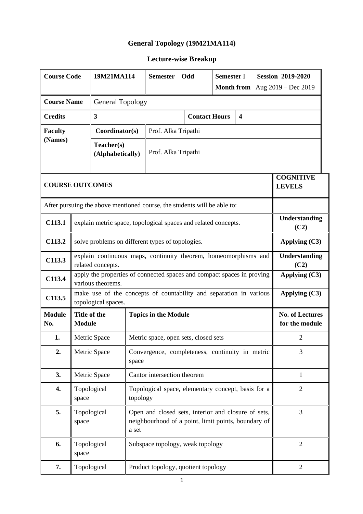### **General Topology (19M21MA114)**

| <b>Course Code</b>                                               |                                                      | 19M21MA114                                                               |          | <b>Semester</b>             | Odd                                  | Semester I<br><b>Session 2019-2020</b> |                                                                                                            |                                          |  |  |
|------------------------------------------------------------------|------------------------------------------------------|--------------------------------------------------------------------------|----------|-----------------------------|--------------------------------------|----------------------------------------|------------------------------------------------------------------------------------------------------------|------------------------------------------|--|--|
|                                                                  |                                                      |                                                                          |          |                             |                                      |                                        | <b>Month from</b> Aug $2019 - Dec 2019$                                                                    |                                          |  |  |
| <b>Course Name</b>                                               | <b>General Topology</b>                              |                                                                          |          |                             |                                      |                                        |                                                                                                            |                                          |  |  |
| <b>Credits</b>                                                   | <b>Contact Hours</b><br>3<br>$\overline{\mathbf{4}}$ |                                                                          |          |                             |                                      |                                        |                                                                                                            |                                          |  |  |
| <b>Faculty</b>                                                   | Coordinator(s)<br>Prof. Alka Tripathi                |                                                                          |          |                             |                                      |                                        |                                                                                                            |                                          |  |  |
| (Names)<br>Teacher(s)<br>Prof. Alka Tripathi<br>(Alphabetically) |                                                      |                                                                          |          |                             |                                      |                                        |                                                                                                            |                                          |  |  |
| <b>COURSE OUTCOMES</b>                                           |                                                      |                                                                          |          |                             |                                      |                                        |                                                                                                            | <b>COGNITIVE</b><br><b>LEVELS</b>        |  |  |
|                                                                  |                                                      | After pursuing the above mentioned course, the students will be able to: |          |                             |                                      |                                        |                                                                                                            |                                          |  |  |
| C113.1                                                           |                                                      | explain metric space, topological spaces and related concepts.           |          |                             |                                      |                                        |                                                                                                            | Understanding<br>(C2)                    |  |  |
| C113.2                                                           |                                                      | solve problems on different types of topologies.<br>Applying $(C3)$      |          |                             |                                      |                                        |                                                                                                            |                                          |  |  |
| C113.3                                                           |                                                      | related concepts.                                                        |          |                             |                                      |                                        | explain continuous maps, continuity theorem, homeomorphisms and                                            | Understanding<br>(C2)                    |  |  |
| C113.4                                                           |                                                      | various theorems.                                                        |          |                             |                                      |                                        | apply the properties of connected spaces and compact spaces in proving                                     | Applying (C3)                            |  |  |
| C113.5                                                           |                                                      | topological spaces.                                                      |          |                             |                                      |                                        | make use of the concepts of countability and separation in various                                         | Applying (C3)                            |  |  |
| <b>Module</b><br>No.                                             | Title of the<br><b>Module</b>                        |                                                                          |          | <b>Topics in the Module</b> |                                      |                                        |                                                                                                            | <b>No. of Lectures</b><br>for the module |  |  |
| 1.                                                               |                                                      | Metric Space                                                             |          |                             | Metric space, open sets, closed sets |                                        |                                                                                                            | $\overline{2}$                           |  |  |
| 2.                                                               |                                                      | Metric Space                                                             | space    |                             |                                      |                                        | Convergence, completeness, continuity in metric                                                            | 3                                        |  |  |
| 3.                                                               |                                                      | Metric Space                                                             |          | Cantor intersection theorem |                                      |                                        |                                                                                                            | $\mathbf{1}$                             |  |  |
| 4.                                                               | space                                                | Topological                                                              | topology |                             |                                      |                                        | Topological space, elementary concept, basis for a                                                         | $\overline{2}$                           |  |  |
| 5.                                                               | space                                                | Topological                                                              | a set    |                             |                                      |                                        | Open and closed sets, interior and closure of sets,<br>neighbourhood of a point, limit points, boundary of | 3                                        |  |  |
| 6.                                                               | space                                                | Topological                                                              |          |                             | Subspace topology, weak topology     |                                        |                                                                                                            | $\overline{2}$                           |  |  |
| 7.                                                               |                                                      | Topological                                                              |          |                             | Product topology, quotient topology  |                                        |                                                                                                            | $\overline{2}$                           |  |  |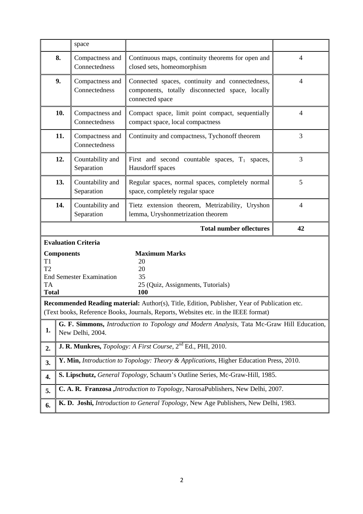|                                                               |                   | space                            |                                                                                                                                                                                    |                |
|---------------------------------------------------------------|-------------------|----------------------------------|------------------------------------------------------------------------------------------------------------------------------------------------------------------------------------|----------------|
|                                                               | 8.                | Compactness and<br>Connectedness | Continuous maps, continuity theorems for open and<br>closed sets, homeomorphism                                                                                                    | 4              |
|                                                               | 9.                | Compactness and<br>Connectedness | Connected spaces, continuity and connectedness,<br>components, totally disconnected space, locally<br>connected space                                                              | $\overline{4}$ |
|                                                               | 10.               | Compactness and<br>Connectedness | Compact space, limit point compact, sequentially<br>compact space, local compactness                                                                                               | $\overline{4}$ |
|                                                               | 11.               | Compactness and<br>Connectedness | Continuity and compactness, Tychonoff theorem                                                                                                                                      | 3              |
|                                                               | 12.               | Countability and<br>Separation   | First and second countable spaces, $T_1$ spaces,<br>Hausdorff spaces                                                                                                               | 3              |
|                                                               | 13.               | Countability and<br>Separation   | Regular spaces, normal spaces, completely normal<br>space, completely regular space                                                                                                | 5              |
|                                                               | 14.               | Countability and<br>Separation   | Tietz extension theorem, Metrizability, Uryshon<br>lemma, Uryshonmetrization theorem                                                                                               | $\overline{4}$ |
|                                                               |                   |                                  | <b>Total number oflectures</b>                                                                                                                                                     | 42             |
|                                                               |                   | <b>Evaluation Criteria</b>       |                                                                                                                                                                                    |                |
|                                                               |                   |                                  |                                                                                                                                                                                    |                |
| T <sub>1</sub><br>T <sub>2</sub><br><b>TA</b><br><b>Total</b> | <b>Components</b> | <b>End Semester Examination</b>  | <b>Maximum Marks</b><br>20<br>20<br>35<br>25 (Quiz, Assignments, Tutorials)<br>100                                                                                                 |                |
|                                                               |                   |                                  | Recommended Reading material: Author(s), Title, Edition, Publisher, Year of Publication etc.<br>(Text books, Reference Books, Journals, Reports, Websites etc. in the IEEE format) |                |
| 1.                                                            |                   | New Delhi, 2004.                 | G. F. Simmons, Introduction to Topology and Modern Analysis, Tata Mc-Graw Hill Education,                                                                                          |                |
| 2.                                                            |                   |                                  | J. R. Munkres, Topology: A First Course, 2 <sup>nd</sup> Ed., PHI, 2010.                                                                                                           |                |
| 3.                                                            |                   |                                  | Y. Min, Introduction to Topology: Theory & Applications, Higher Education Press, 2010.                                                                                             |                |
| 4.                                                            |                   |                                  | S. Lipschutz, General Topology, Schaum's Outline Series, Mc-Graw-Hill, 1985.                                                                                                       |                |
| 5.                                                            |                   |                                  | C. A. R. Franzosa , <i>Introduction to Topology</i> , NarosaPublishers, New Delhi, 2007.                                                                                           |                |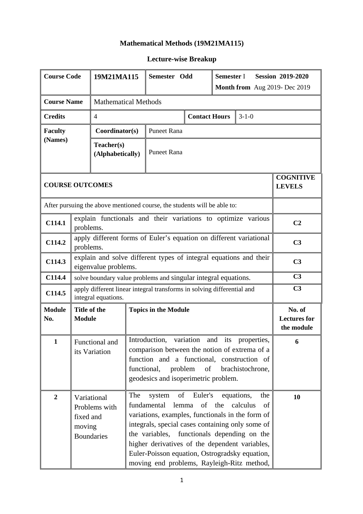#### **Mathematical Methods (19M21MA115)**

| <b>Course Code</b>                                                       |                                                                                           | 19M21MA115                                                                                    | Semester Odd                |                                                                                                                                                                                                                                                                                                         |                        | Semester I<br><b>Session 2019-2020</b><br>Month from Aug 2019- Dec 2019 |                                                                     |                                             |
|--------------------------------------------------------------------------|-------------------------------------------------------------------------------------------|-----------------------------------------------------------------------------------------------|-----------------------------|---------------------------------------------------------------------------------------------------------------------------------------------------------------------------------------------------------------------------------------------------------------------------------------------------------|------------------------|-------------------------------------------------------------------------|---------------------------------------------------------------------|---------------------------------------------|
|                                                                          |                                                                                           |                                                                                               |                             |                                                                                                                                                                                                                                                                                                         |                        |                                                                         |                                                                     |                                             |
| <b>Course Name</b><br><b>Mathematical Methods</b>                        |                                                                                           |                                                                                               |                             |                                                                                                                                                                                                                                                                                                         |                        |                                                                         |                                                                     |                                             |
| <b>Credits</b>                                                           |                                                                                           | $\overline{4}$                                                                                |                             | $3 - 1 - 0$<br><b>Contact Hours</b>                                                                                                                                                                                                                                                                     |                        |                                                                         |                                                                     |                                             |
| <b>Faculty</b><br>(Names)                                                |                                                                                           | Coordinator(s)                                                                                |                             | <b>Puneet Rana</b>                                                                                                                                                                                                                                                                                      |                        |                                                                         |                                                                     |                                             |
|                                                                          |                                                                                           | Teacher(s)<br>(Alphabetically)                                                                | <b>Puneet Rana</b>          |                                                                                                                                                                                                                                                                                                         |                        |                                                                         |                                                                     |                                             |
| <b>COURSE OUTCOMES</b>                                                   |                                                                                           |                                                                                               |                             |                                                                                                                                                                                                                                                                                                         |                        |                                                                         | <b>COGNITIVE</b><br><b>LEVELS</b>                                   |                                             |
| After pursuing the above mentioned course, the students will be able to: |                                                                                           |                                                                                               |                             |                                                                                                                                                                                                                                                                                                         |                        |                                                                         |                                                                     |                                             |
| C114.1                                                                   | explain functionals and their variations to optimize various<br>problems.                 |                                                                                               |                             |                                                                                                                                                                                                                                                                                                         |                        |                                                                         |                                                                     | C <sub>2</sub>                              |
| C114.2                                                                   | apply different forms of Euler's equation on different variational<br>problems.           |                                                                                               |                             |                                                                                                                                                                                                                                                                                                         |                        |                                                                         | C <sub>3</sub>                                                      |                                             |
| C114.3                                                                   | explain and solve different types of integral equations and their<br>eigenvalue problems. |                                                                                               |                             |                                                                                                                                                                                                                                                                                                         |                        |                                                                         |                                                                     | C <sub>3</sub>                              |
| C114.4                                                                   | solve boundary value problems and singular integral equations.                            |                                                                                               |                             |                                                                                                                                                                                                                                                                                                         |                        |                                                                         |                                                                     | C <sub>3</sub>                              |
| C114.5                                                                   |                                                                                           | apply different linear integral transforms in solving differential and<br>integral equations. |                             |                                                                                                                                                                                                                                                                                                         |                        |                                                                         |                                                                     | C <sub>3</sub>                              |
| <b>Module</b><br>No.                                                     | Title of the<br><b>Module</b>                                                             |                                                                                               | <b>Topics in the Module</b> |                                                                                                                                                                                                                                                                                                         |                        |                                                                         |                                                                     | No. of<br><b>Lectures for</b><br>the module |
| 1                                                                        | Functional and<br>its Variation                                                           |                                                                                               |                             | Introduction,<br>variation<br>comparison between the notion of extrema of a<br>function and a functional, construction of<br>functional,<br>problem<br>geodesics and isoperimetric problem.                                                                                                             | 6                      |                                                                         |                                                                     |                                             |
| $\boldsymbol{2}$                                                         | fixed and<br>moving                                                                       | Variational<br>Problems with<br><b>Boundaries</b>                                             | The                         | of<br>system<br>fundamental<br>variations, examples, functionals in the form of<br>integrals, special cases containing only some of<br>the variables,<br>higher derivatives of the dependent variables,<br>Euler-Poisson equation, Ostrogradsky equation,<br>moving end problems, Rayleigh-Ritz method, | Euler's<br>of<br>lemma | the                                                                     | equations,<br>the<br>calculus<br>of<br>functionals depending on the | 10                                          |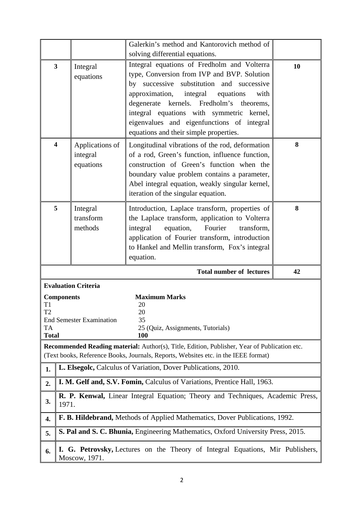|                                                                                                                                                                                                                                      |                                                                                                 |                                                                                         | Galerkin's method and Kantorovich method of                                                                                                                                                                                                                                                                                                                                                                    |    |  |  |  |  |
|--------------------------------------------------------------------------------------------------------------------------------------------------------------------------------------------------------------------------------------|-------------------------------------------------------------------------------------------------|-----------------------------------------------------------------------------------------|----------------------------------------------------------------------------------------------------------------------------------------------------------------------------------------------------------------------------------------------------------------------------------------------------------------------------------------------------------------------------------------------------------------|----|--|--|--|--|
|                                                                                                                                                                                                                                      | 3<br>Integral<br>equations                                                                      |                                                                                         | solving differential equations.<br>Integral equations of Fredholm and Volterra<br>type, Conversion from IVP and BVP. Solution<br>by successive substitution and successive<br>approximation,<br>integral<br>equations<br>with<br>degenerate kernels. Fredholm's theorems,<br>integral equations with symmetric kernel,<br>eigenvalues and eigenfunctions of integral<br>equations and their simple properties. | 10 |  |  |  |  |
|                                                                                                                                                                                                                                      | $\overline{\mathbf{4}}$<br>Applications of<br>integral<br>equations                             |                                                                                         | Longitudinal vibrations of the rod, deformation<br>of a rod, Green's function, influence function,<br>construction of Green's function when the<br>boundary value problem contains a parameter,<br>Abel integral equation, weakly singular kernel,<br>iteration of the singular equation.                                                                                                                      | 8  |  |  |  |  |
| 5                                                                                                                                                                                                                                    |                                                                                                 | Integral<br>transform<br>methods                                                        | Introduction, Laplace transform, properties of<br>the Laplace transform, application to Volterra<br>integral<br>equation,<br>Fourier<br>transform,<br>application of Fourier transform, introduction<br>to Hankel and Mellin transform, Fox's integral<br>equation.                                                                                                                                            | 8  |  |  |  |  |
|                                                                                                                                                                                                                                      |                                                                                                 |                                                                                         | <b>Total number of lectures</b>                                                                                                                                                                                                                                                                                                                                                                                | 42 |  |  |  |  |
| <b>Evaluation Criteria</b><br><b>Maximum Marks</b><br><b>Components</b><br>20<br>T1<br>T <sub>2</sub><br>20<br><b>End Semester Examination</b><br>35<br><b>TA</b><br>25 (Quiz, Assignments, Tutorials)<br><b>Total</b><br><b>100</b> |                                                                                                 |                                                                                         |                                                                                                                                                                                                                                                                                                                                                                                                                |    |  |  |  |  |
| Recommended Reading material: Author(s), Title, Edition, Publisher, Year of Publication etc.<br>(Text books, Reference Books, Journals, Reports, Websites etc. in the IEEE format)                                                   |                                                                                                 |                                                                                         |                                                                                                                                                                                                                                                                                                                                                                                                                |    |  |  |  |  |
| 1.                                                                                                                                                                                                                                   | L. Elsegolc, Calculus of Variation, Dover Publications, 2010.                                   |                                                                                         |                                                                                                                                                                                                                                                                                                                                                                                                                |    |  |  |  |  |
| 2.                                                                                                                                                                                                                                   | I. M. Gelf and, S.V. Fomin, Calculus of Variations, Prentice Hall, 1963.                        |                                                                                         |                                                                                                                                                                                                                                                                                                                                                                                                                |    |  |  |  |  |
| 3.                                                                                                                                                                                                                                   |                                                                                                 | R. P. Kenwal, Linear Integral Equation; Theory and Techniques, Academic Press,<br>1971. |                                                                                                                                                                                                                                                                                                                                                                                                                |    |  |  |  |  |
| 4.                                                                                                                                                                                                                                   |                                                                                                 | F. B. Hildebrand, Methods of Applied Mathematics, Dover Publications, 1992.             |                                                                                                                                                                                                                                                                                                                                                                                                                |    |  |  |  |  |
| 5.                                                                                                                                                                                                                                   |                                                                                                 | S. Pal and S. C. Bhunia, Engineering Mathematics, Oxford University Press, 2015.        |                                                                                                                                                                                                                                                                                                                                                                                                                |    |  |  |  |  |
| 6.                                                                                                                                                                                                                                   | I. G. Petrovsky, Lectures on the Theory of Integral Equations, Mir Publishers,<br>Moscow, 1971. |                                                                                         |                                                                                                                                                                                                                                                                                                                                                                                                                |    |  |  |  |  |